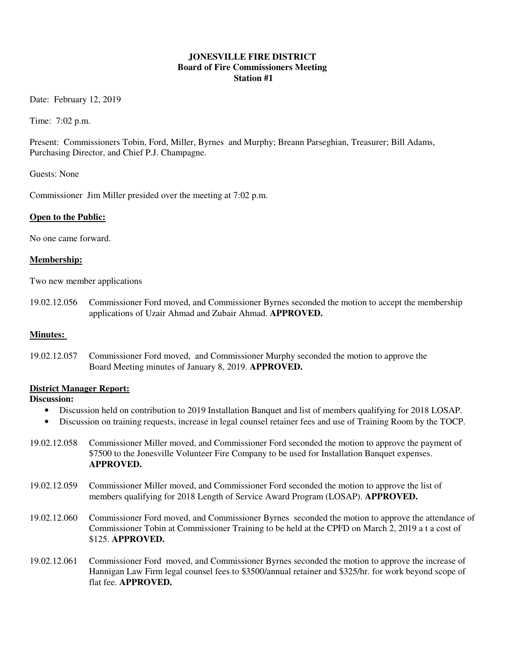#### **JONESVILLE FIRE DISTRICT Board of Fire Commissioners Meeting Station #1**

Date: February 12, 2019

Time: 7:02 p.m.

Present: Commissioners Tobin, Ford, Miller, Byrnes and Murphy; Breann Parseghian, Treasurer; Bill Adams, Purchasing Director, and Chief P.J. Champagne.

Guests: None

Commissioner Jim Miller presided over the meeting at 7:02 p.m.

#### **Open to the Public:**

No one came forward.

#### **Membership:**

Two new member applications

19.02.12.056 Commissioner Ford moved, and Commissioner Byrnes seconded the motion to accept the membership applications of Uzair Ahmad and Zubair Ahmad. **APPROVED.**

#### **Minutes:**

19.02.12.057 Commissioner Ford moved, and Commissioner Murphy seconded the motion to approve the Board Meeting minutes of January 8, 2019. **APPROVED.** 

#### **District Manager Report:**

## **Discussion:**

- Discussion held on contribution to 2019 Installation Banquet and list of members qualifying for 2018 LOSAP.
- Discussion on training requests, increase in legal counsel retainer fees and use of Training Room by the TOCP.
- 19.02.12.058 Commissioner Miller moved, and Commissioner Ford seconded the motion to approve the payment of \$7500 to the Jonesville Volunteer Fire Company to be used for Installation Banquet expenses. **APPROVED.**
- 19.02.12.059 Commissioner Miller moved, and Commissioner Ford seconded the motion to approve the list of members qualifying for 2018 Length of Service Award Program (LOSAP). **APPROVED.**
- 19.02.12.060 Commissioner Ford moved, and Commissioner Byrnes seconded the motion to approve the attendance of Commissioner Tobin at Commissioner Training to be held at the CPFD on March 2, 2019 a t a cost of \$125. **APPROVED.**
- 19.02.12.061 Commissioner Ford moved, and Commissioner Byrnes seconded the motion to approve the increase of Hannigan Law Firm legal counsel fees to \$3500/annual retainer and \$325/hr. for work beyond scope of flat fee. **APPROVED.**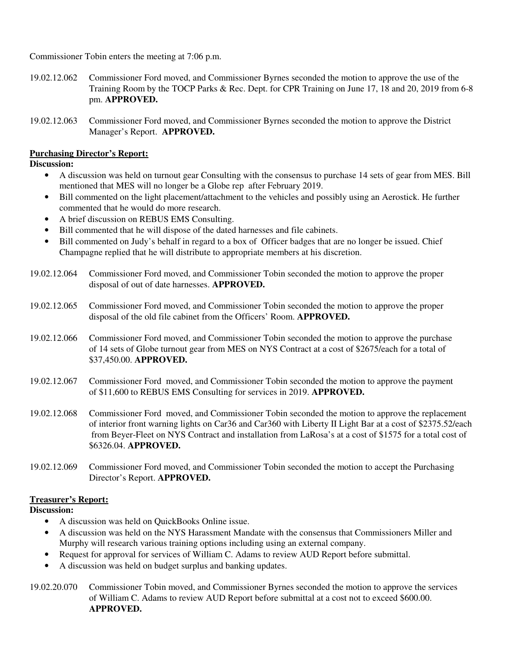Commissioner Tobin enters the meeting at 7:06 p.m.

- 19.02.12.062 Commissioner Ford moved, and Commissioner Byrnes seconded the motion to approve the use of the Training Room by the TOCP Parks & Rec. Dept. for CPR Training on June 17, 18 and 20, 2019 from 6-8 pm. **APPROVED.**
- 19.02.12.063 Commissioner Ford moved, and Commissioner Byrnes seconded the motion to approve the District Manager's Report. **APPROVED.**

## **Purchasing Director's Report:**

**Discussion:** 

- A discussion was held on turnout gear Consulting with the consensus to purchase 14 sets of gear from MES. Bill mentioned that MES will no longer be a Globe rep after February 2019.
- Bill commented on the light placement/attachment to the vehicles and possibly using an Aerostick. He further commented that he would do more research.
- A brief discussion on REBUS EMS Consulting.
- Bill commented that he will dispose of the dated harnesses and file cabinets.
- Bill commented on Judy's behalf in regard to a box of Officer badges that are no longer be issued. Chief Champagne replied that he will distribute to appropriate members at his discretion.
- 19.02.12.064 Commissioner Ford moved, and Commissioner Tobin seconded the motion to approve the proper disposal of out of date harnesses. **APPROVED.**
- 19.02.12.065 Commissioner Ford moved, and Commissioner Tobin seconded the motion to approve the proper disposal of the old file cabinet from the Officers' Room. **APPROVED.**
- 19.02.12.066 Commissioner Ford moved, and Commissioner Tobin seconded the motion to approve the purchase of 14 sets of Globe turnout gear from MES on NYS Contract at a cost of \$2675/each for a total of \$37,450.00. **APPROVED.**
- 19.02.12.067 Commissioner Ford moved, and Commissioner Tobin seconded the motion to approve the payment of \$11,600 to REBUS EMS Consulting for services in 2019. **APPROVED.**
- 19.02.12.068 Commissioner Ford moved, and Commissioner Tobin seconded the motion to approve the replacement of interior front warning lights on Car36 and Car360 with Liberty II Light Bar at a cost of \$2375.52/each from Beyer-Fleet on NYS Contract and installation from LaRosa's at a cost of \$1575 for a total cost of \$6326.04. **APPROVED.**
- 19.02.12.069 Commissioner Ford moved, and Commissioner Tobin seconded the motion to accept the Purchasing Director's Report. **APPROVED.**

### **Treasurer's Report:**

**Discussion:** 

- A discussion was held on QuickBooks Online issue.
- A discussion was held on the NYS Harassment Mandate with the consensus that Commissioners Miller and Murphy will research various training options including using an external company.
- Request for approval for services of William C. Adams to review AUD Report before submittal.
- A discussion was held on budget surplus and banking updates.

19.02.20.070 Commissioner Tobin moved, and Commissioner Byrnes seconded the motion to approve the services of William C. Adams to review AUD Report before submittal at a cost not to exceed \$600.00. **APPROVED.**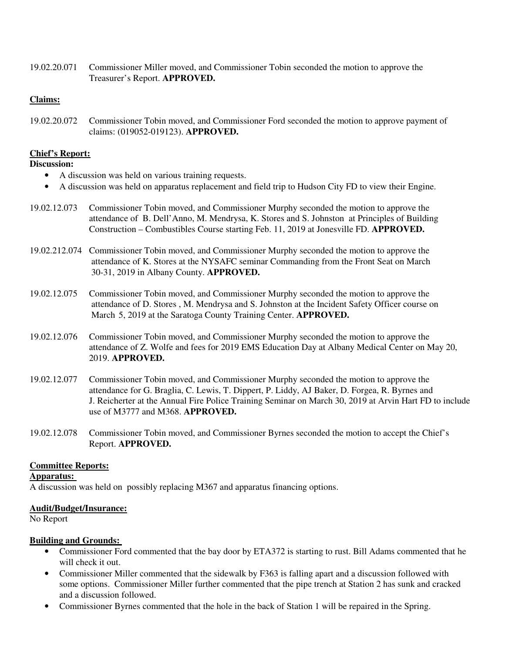19.02.20.071 Commissioner Miller moved, and Commissioner Tobin seconded the motion to approve the Treasurer's Report. **APPROVED.**

#### **Claims:**

19.02.20.072 Commissioner Tobin moved, and Commissioner Ford seconded the motion to approve payment of claims: (019052-019123). **APPROVED.** 

#### **Chief's Report:**

## **Discussion:**

- A discussion was held on various training requests.
- A discussion was held on apparatus replacement and field trip to Hudson City FD to view their Engine.
- 19.02.12.073 Commissioner Tobin moved, and Commissioner Murphy seconded the motion to approve the attendance of B. Dell'Anno, M. Mendrysa, K. Stores and S. Johnston at Principles of Building Construction – Combustibles Course starting Feb. 11, 2019 at Jonesville FD. **APPROVED.**
- 19.02.212.074 Commissioner Tobin moved, and Commissioner Murphy seconded the motion to approve the attendance of K. Stores at the NYSAFC seminar Commanding from the Front Seat on March 30-31, 2019 in Albany County. **APPROVED.**
- 19.02.12.075 Commissioner Tobin moved, and Commissioner Murphy seconded the motion to approve the attendance of D. Stores , M. Mendrysa and S. Johnston at the Incident Safety Officer course on March 5, 2019 at the Saratoga County Training Center. **APPROVED.**
- 19.02.12.076 Commissioner Tobin moved, and Commissioner Murphy seconded the motion to approve the attendance of Z. Wolfe and fees for 2019 EMS Education Day at Albany Medical Center on May 20, 2019. **APPROVED.**
- 19.02.12.077 Commissioner Tobin moved, and Commissioner Murphy seconded the motion to approve the attendance for G. Braglia, C. Lewis, T. Dippert, P. Liddy, AJ Baker, D. Forgea, R. Byrnes and J. Reicherter at the Annual Fire Police Training Seminar on March 30, 2019 at Arvin Hart FD to include use of M3777 and M368. **APPROVED.**
- 19.02.12.078 Commissioner Tobin moved, and Commissioner Byrnes seconded the motion to accept the Chief's Report. **APPROVED.**

#### **Committee Reports:**

## **Apparatus:**

A discussion was held on possibly replacing M367 and apparatus financing options.

#### **Audit/Budget/Insurance:**

No Report

#### **Building and Grounds:**

- Commissioner Ford commented that the bay door by ETA372 is starting to rust. Bill Adams commented that he will check it out.
- Commissioner Miller commented that the sidewalk by F363 is falling apart and a discussion followed with some options. Commissioner Miller further commented that the pipe trench at Station 2 has sunk and cracked and a discussion followed.
- Commissioner Byrnes commented that the hole in the back of Station 1 will be repaired in the Spring.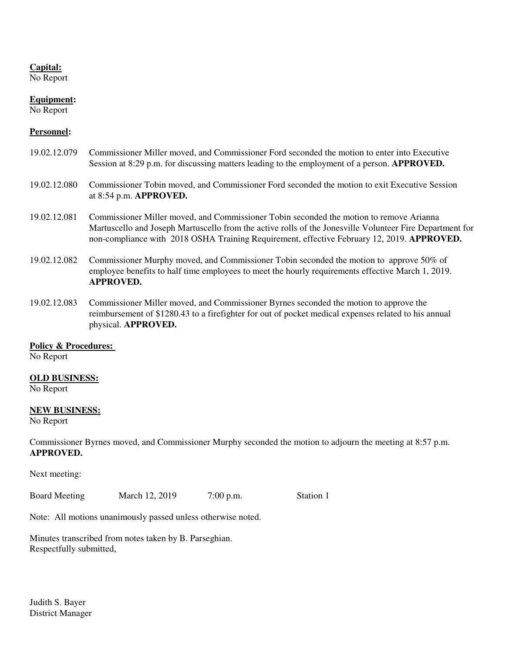## **Capital:**

No Report

## **Equipment:**

No Report

### **Personnel:**

| 19.02.12.079 | Commissioner Miller moved, and Commissioner Ford seconded the motion to enter into Executive<br>Session at 8:29 p.m. for discussing matters leading to the employment of a person. <b>APPROVED.</b>                                                                                               |
|--------------|---------------------------------------------------------------------------------------------------------------------------------------------------------------------------------------------------------------------------------------------------------------------------------------------------|
| 19.02.12.080 | Commissioner Tobin moved, and Commissioner Ford seconded the motion to exit Executive Session<br>at 8:54 p.m. APPROVED.                                                                                                                                                                           |
| 19.02.12.081 | Commissioner Miller moved, and Commissioner Tobin seconded the motion to remove Arianna<br>Martuscello and Joseph Martuscello from the active rolls of the Jonesville Volunteer Fire Department for<br>non-compliance with 2018 OSHA Training Requirement, effective February 12, 2019. APPROVED. |
| 19.02.12.082 | Commissioner Murphy moved, and Commissioner Tobin seconded the motion to approve 50% of<br>employee benefits to half time employees to meet the hourly requirements effective March 1, 2019.<br><b>APPROVED.</b>                                                                                  |

19.02.12.083 Commissioner Miller moved, and Commissioner Byrnes seconded the motion to approve the reimbursement of \$1280.43 to a firefighter for out of pocket medical expenses related to his annual physical. **APPROVED.**

#### **Policy & Procedures:**

No Report

#### **OLD BUSINESS:**

No Report

#### **NEW BUSINESS:**

No Report

Commissioner Byrnes moved, and Commissioner Murphy seconded the motion to adjourn the meeting at 8:57 p.m. **APPROVED.**

Next meeting:

Board Meeting March 12, 2019 7:00 p.m. Station 1

Note: All motions unanimously passed unless otherwise noted.

Minutes transcribed from notes taken by B. Parseghian. Respectfully submitted,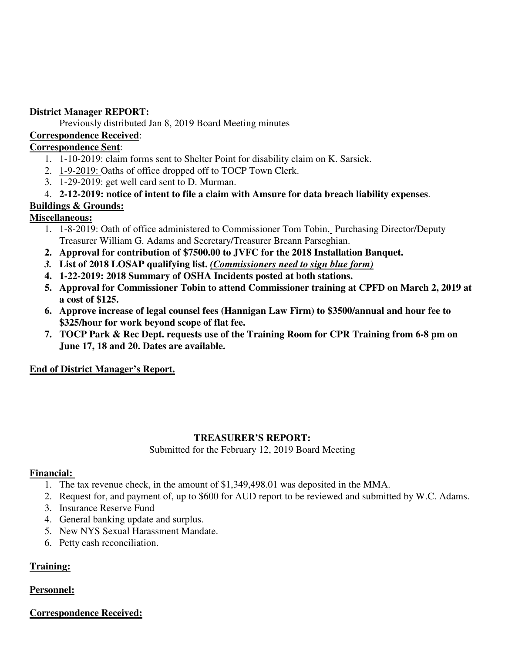## **District Manager REPORT:**

Previously distributed Jan 8, 2019 Board Meeting minutes

## **Correspondence Received**:

## **Correspondence Sent**:

- 1. 1-10-2019: claim forms sent to Shelter Point for disability claim on K. Sarsick.
- 2. 1-9-2019: Oaths of office dropped off to TOCP Town Clerk.
- 3. 1-29-2019: get well card sent to D. Murman.

## 4. **2-12-2019: notice of intent to file a claim with Amsure for data breach liability expenses**.

## **Buildings & Grounds:**

## **Miscellaneous:**

- 1. 1-8-2019: Oath of office administered to Commissioner Tom Tobin, Purchasing Director/Deputy Treasurer William G. Adams and Secretary/Treasurer Breann Parseghian.
- **2. Approval for contribution of \$7500.00 to JVFC for the 2018 Installation Banquet.**
- *3.* **List of 2018 LOSAP qualifying list.** *(Commissioners need to sign blue form)*
- **4. 1-22-2019: 2018 Summary of OSHA Incidents posted at both stations.**
- **5. Approval for Commissioner Tobin to attend Commissioner training at CPFD on March 2, 2019 at a cost of \$125.**
- **6. Approve increase of legal counsel fees (Hannigan Law Firm) to \$3500/annual and hour fee to \$325/hour for work beyond scope of flat fee.**
- **7. TOCP Park & Rec Dept. requests use of the Training Room for CPR Training from 6-8 pm on June 17, 18 and 20. Dates are available.**

## **End of District Manager's Report.**

## **TREASURER'S REPORT:**

Submitted for the February 12, 2019 Board Meeting

## **Financial:**

- 1. The tax revenue check, in the amount of \$1,349,498.01 was deposited in the MMA.
- 2. Request for, and payment of, up to \$600 for AUD report to be reviewed and submitted by W.C. Adams.
- 3. Insurance Reserve Fund
- 4. General banking update and surplus.
- 5. New NYS Sexual Harassment Mandate.
- 6. Petty cash reconciliation.

## **Training:**

## **Personnel:**

## **Correspondence Received:**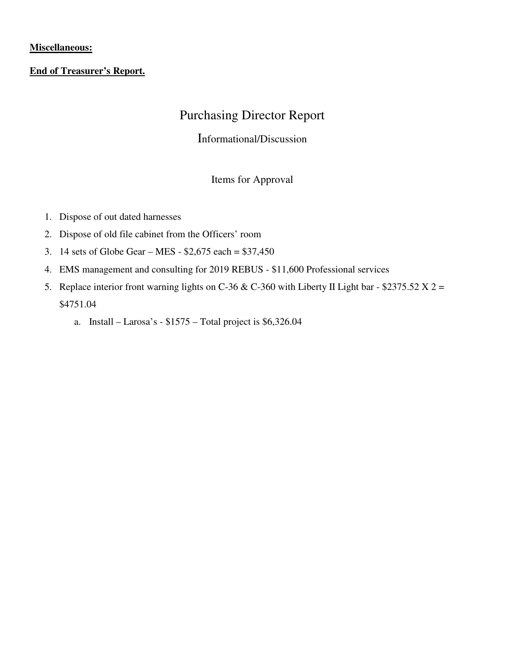## **Miscellaneous:**

## **End of Treasurer's Report.**

# Purchasing Director Report

## Informational/Discussion

## Items for Approval

- 1. Dispose of out dated harnesses
- 2. Dispose of old file cabinet from the Officers' room
- 3. 14 sets of Globe Gear MES \$2,675 each = \$37,450
- 4. EMS management and consulting for 2019 REBUS \$11,600 Professional services
- 5. Replace interior front warning lights on C-36 & C-360 with Liberty II Light bar \$2375.52 X 2 = \$4751.04
	- a. Install Larosa's \$1575 Total project is \$6,326.04